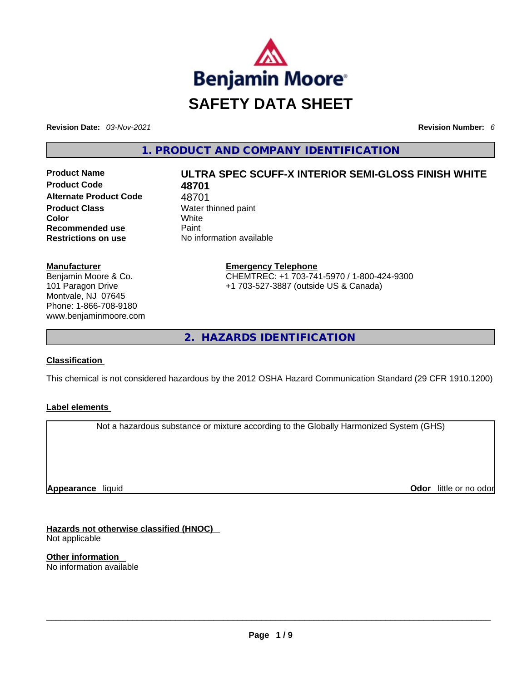

**Revision Date:** *03-Nov-2021* **Revision Number:** *6*

**1. PRODUCT AND COMPANY IDENTIFICATION** 

**Product Code 48701 Alternate Product Code** 48701 **Product Class Water thinned paint Color** White **Recommended use** Paint **Restrictions on use** No information available

# **Product Name ULTRA SPEC SCUFF-X INTERIOR SEMI-GLOSS FINISH WHITE**

**Emergency Telephone** CHEMTREC: +1 703-741-5970 / 1-800-424-9300 +1 703-527-3887 (outside US & Canada)

**2. HAZARDS IDENTIFICATION** 

### **Classification**

**Manufacturer**

Benjamin Moore & Co. 101 Paragon Drive Montvale, NJ 07645 Phone: 1-866-708-9180 www.benjaminmoore.com

This chemical is not considered hazardous by the 2012 OSHA Hazard Communication Standard (29 CFR 1910.1200)

### **Label elements**

Not a hazardous substance or mixture according to the Globally Harmonized System (GHS)

**Appearance** liquid

**Odor** little or no odor

**Hazards not otherwise classified (HNOC)**  Not applicable

**Other information**  No information available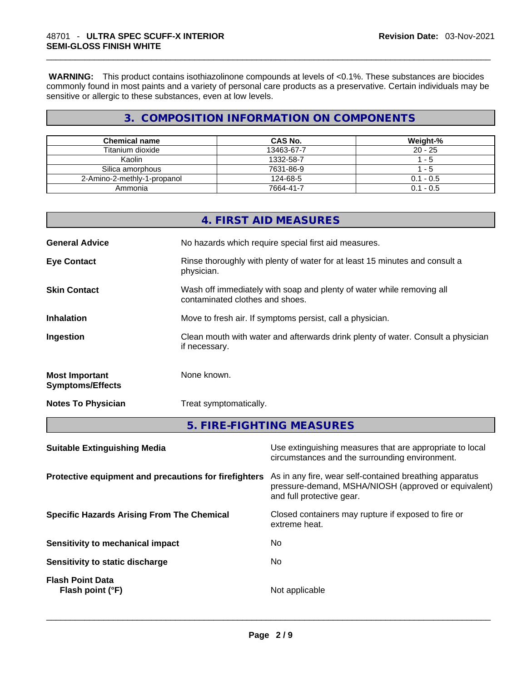**WARNING:** This product contains isothiazolinone compounds at levels of <0.1%. These substances are biocides commonly found in most paints and a variety of personal care products as a preservative. Certain individuals may be sensitive or allergic to these substances, even at low levels.

# **3. COMPOSITION INFORMATION ON COMPONENTS**

| <b>Chemical name</b>        | <b>CAS No.</b> | Weight-%    |
|-----------------------------|----------------|-------------|
| Titanium dioxide            | 13463-67-7     | $20 - 25$   |
| Kaolin                      | 1332-58-7      | - 5         |
| Silica amorphous            | 7631-86-9      | - 5         |
| 2-Amino-2-methly-1-propanol | 124-68-5       | $0.1 - 0.5$ |
| Ammonia                     | 7664-41-7      | $0.1 - 0.5$ |

|                                                  | 4. FIRST AID MEASURES                                                                                    |
|--------------------------------------------------|----------------------------------------------------------------------------------------------------------|
| <b>General Advice</b>                            | No hazards which require special first aid measures.                                                     |
| <b>Eye Contact</b>                               | Rinse thoroughly with plenty of water for at least 15 minutes and consult a<br>physician.                |
| <b>Skin Contact</b>                              | Wash off immediately with soap and plenty of water while removing all<br>contaminated clothes and shoes. |
| <b>Inhalation</b>                                | Move to fresh air. If symptoms persist, call a physician.                                                |
| Ingestion                                        | Clean mouth with water and afterwards drink plenty of water. Consult a physician<br>if necessary.        |
| <b>Most Important</b><br><b>Symptoms/Effects</b> | None known.                                                                                              |
| <b>Notes To Physician</b>                        | Treat symptomatically.                                                                                   |
|                                                  | 5. FIRE-FIGHTING MEASURES                                                                                |
|                                                  |                                                                                                          |

| <b>Suitable Extinguishing Media</b>                   | Use extinguishing measures that are appropriate to local<br>circumstances and the surrounding environment.                                   |
|-------------------------------------------------------|----------------------------------------------------------------------------------------------------------------------------------------------|
| Protective equipment and precautions for firefighters | As in any fire, wear self-contained breathing apparatus<br>pressure-demand, MSHA/NIOSH (approved or equivalent)<br>and full protective gear. |
| <b>Specific Hazards Arising From The Chemical</b>     | Closed containers may rupture if exposed to fire or<br>extreme heat.                                                                         |
| Sensitivity to mechanical impact                      | No.                                                                                                                                          |
| Sensitivity to static discharge                       | No.                                                                                                                                          |
| <b>Flash Point Data</b><br>Flash point (°F)           | Not applicable                                                                                                                               |
|                                                       |                                                                                                                                              |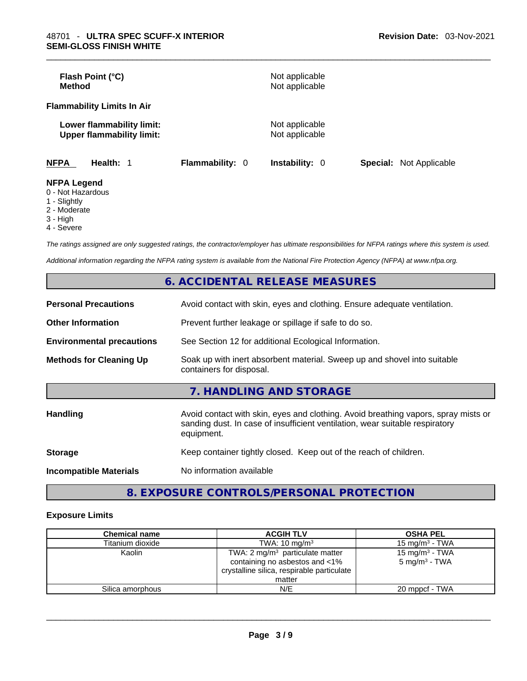| Flash Point (°C)<br><b>Method</b>                             |                 | Not applicable<br>Not applicable |                                |
|---------------------------------------------------------------|-----------------|----------------------------------|--------------------------------|
| <b>Flammability Limits In Air</b>                             |                 |                                  |                                |
| Lower flammability limit:<br><b>Upper flammability limit:</b> |                 | Not applicable<br>Not applicable |                                |
| <b>NFPA</b><br>Health: 1                                      | Flammability: 0 | <b>Instability: 0</b>            | <b>Special:</b> Not Applicable |
| <b>NFPA Legend</b><br>0 - Not Hazardous                       |                 |                                  |                                |

- 
- 1 Slightly 2 - Moderate
- 3 High
- 4 Severe

*The ratings assigned are only suggested ratings, the contractor/employer has ultimate responsibilities for NFPA ratings where this system is used.* 

*Additional information regarding the NFPA rating system is available from the National Fire Protection Agency (NFPA) at www.nfpa.org.* 

|                                  | 6. ACCIDENTAL RELEASE MEASURES                                                                                                                                                   |
|----------------------------------|----------------------------------------------------------------------------------------------------------------------------------------------------------------------------------|
| <b>Personal Precautions</b>      | Avoid contact with skin, eyes and clothing. Ensure adequate ventilation.                                                                                                         |
| <b>Other Information</b>         | Prevent further leakage or spillage if safe to do so.                                                                                                                            |
| <b>Environmental precautions</b> | See Section 12 for additional Ecological Information.                                                                                                                            |
| <b>Methods for Cleaning Up</b>   | Soak up with inert absorbent material. Sweep up and shovel into suitable<br>containers for disposal.                                                                             |
|                                  | 7. HANDLING AND STORAGE                                                                                                                                                          |
| <b>Handling</b>                  | Avoid contact with skin, eyes and clothing. Avoid breathing vapors, spray mists or<br>sanding dust. In case of insufficient ventilation, wear suitable respiratory<br>equipment. |
| <b>Storage</b>                   | Keep container tightly closed. Keep out of the reach of children.                                                                                                                |
| <b>Incompatible Materials</b>    | No information available                                                                                                                                                         |
|                                  |                                                                                                                                                                                  |

# **8. EXPOSURE CONTROLS/PERSONAL PROTECTION**

### **Exposure Limits**

| <b>Chemical name</b> | <b>ACGIH TLV</b>                                                                                                                     | <b>OSHA PEL</b>                                        |
|----------------------|--------------------------------------------------------------------------------------------------------------------------------------|--------------------------------------------------------|
| Titanium dioxide     | TWA: $10 \text{ mg/m}^3$                                                                                                             | 15 mg/m $3$ - TWA                                      |
| Kaolin               | TWA: $2 \text{ mg/m}^3$ particulate matter<br>containing no asbestos and <1%<br>crystalline silica, respirable particulate<br>matter | 15 mg/m <sup>3</sup> - TWA<br>$5 \text{ mg/m}^3$ - TWA |
| Silica amorphous     | N/E                                                                                                                                  | 20 mppcf - TWA                                         |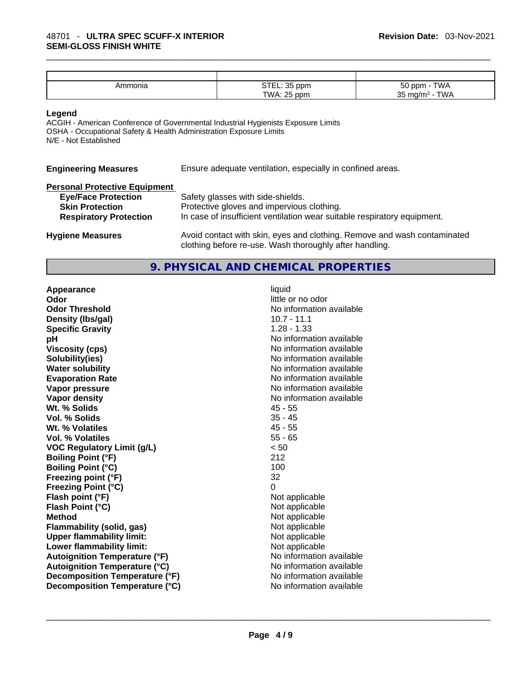| Ammonia | ~ <del>~</del> ~<br>$. \cap$<br>ppm<br>.∟∟ו ט | <b>TWA</b><br>$\sim$ 0 ppm -<br>5U |
|---------|-----------------------------------------------|------------------------------------|
|         | TWA:<br>$\Delta$ . OF<br>i ppm<br>دے          | TWA<br>25<br>m $\alpha/m^3$<br>ັບ  |

### **Legend**

ACGIH - American Conference of Governmental Industrial Hygienists Exposure Limits OSHA - Occupational Safety & Health Administration Exposure Limits N/E - Not Established

**Engineering Measures** Ensure adequate ventilation, especially in confined areas.

| <b>Personal Protective Equipment</b> |                                                                                                                                     |
|--------------------------------------|-------------------------------------------------------------------------------------------------------------------------------------|
| <b>Eye/Face Protection</b>           | Safety glasses with side-shields.                                                                                                   |
| <b>Skin Protection</b>               | Protective gloves and impervious clothing.                                                                                          |
| <b>Respiratory Protection</b>        | In case of insufficient ventilation wear suitable respiratory equipment.                                                            |
| <b>Hygiene Measures</b>              | Avoid contact with skin, eyes and clothing. Remove and wash contaminated<br>clothing before re-use. Wash thoroughly after handling. |

# **9. PHYSICAL AND CHEMICAL PROPERTIES**

**Appearance** liquid **Odor Odor Odor Odor Odor Odor** *little or no odor little or no odor little or no odor* **Odor Threshold** No information available **Density (lbs/gal)** 10.7 - 11.1 **Specific Gravity** 1.28 - 1.33 **pH pH** *No* information available **Viscosity (cps) Viscosity (cps) No information available Solubility(ies)** No information available **Water solubility Water solubility No information available Evaporation Rate No information available No information available Vapor pressure**  No information available **Vapor pressure No information available Vapor density**<br> **We Solids**<br>
We Solid Wi % Solids
2019 Wt. % Solids **Vol. % Solids** 35 - 45 **Wt. % Volatiles** 45 - 55 **Vol. % Volatiles** 55 - 65 **VOC Regulatory Limit (g/L)** < 50 **Boiling Point (°F)** 212 **Boiling Point**  $(^{\circ}C)$  100 **Freezing point (°F)** 32 **Freezing Point (°C)** 0 **Flash point (°F)** Not applicable **Flash Point (°C)** Not applicable **Method** Not applicable **Flammability (solid, gas)** Not applicable **Upper flammability limit:** Not applicable **Lower flammability limit:** Not applicable **Autoignition Temperature (°F)** No information available **Autoignition Temperature (°C)** No information available **Decomposition Temperature (°F)** No information available **Decomposition Temperature (°C)** No information available \_\_\_\_\_\_\_\_\_\_\_\_\_\_\_\_\_\_\_\_\_\_\_\_\_\_\_\_\_\_\_\_\_\_\_\_\_\_\_\_\_\_\_\_\_\_\_\_\_\_\_\_\_\_\_\_\_\_\_\_\_\_\_\_\_\_\_\_\_\_\_\_\_\_\_\_\_\_\_\_\_\_\_\_\_\_\_\_\_\_\_\_\_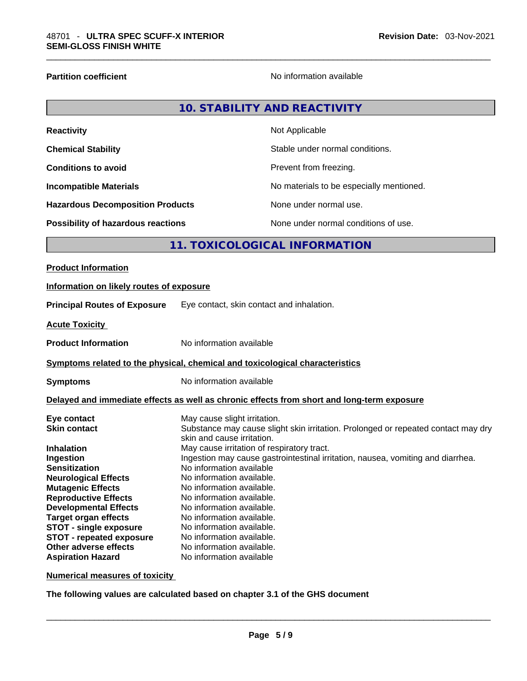**Partition coefficient Contract Contract Contract Contract Contract Contract Contract Contract Contract Contract Contract Contract Contract Contract Contract Contract Contract Contract Contract Contract Contract Contract** 

|                   | 10. STABILITY AND REACTIVITY |
|-------------------|------------------------------|
| <b>Reactivity</b> | Not Applicable               |

| <b>Chemical Stability</b>                 | Stable under normal conditions.          |
|-------------------------------------------|------------------------------------------|
| <b>Conditions to avoid</b>                | Prevent from freezing.                   |
| <b>Incompatible Materials</b>             | No materials to be especially mentioned. |
| <b>Hazardous Decomposition Products</b>   | None under normal use.                   |
| <b>Possibility of hazardous reactions</b> | None under normal conditions of use.     |

# **11. TOXICOLOGICAL INFORMATION**

**Numerical measures of toxicity**

**The following values are calculated based on chapter 3.1 of the GHS document**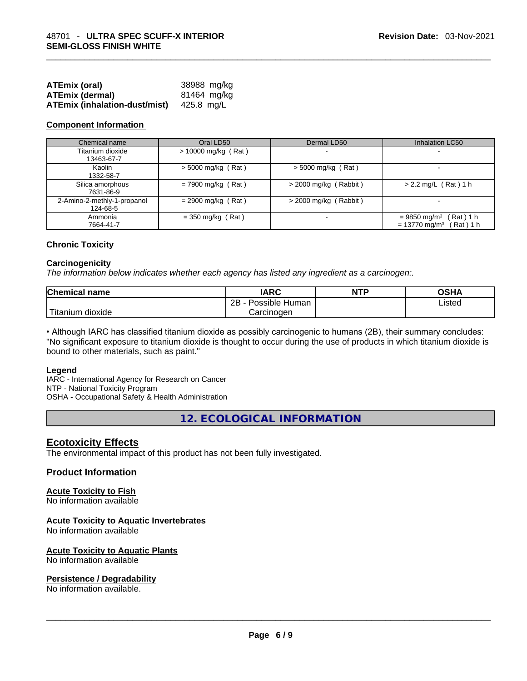| <b>ATEmix (oral)</b>                 | 38988 mg/kg |
|--------------------------------------|-------------|
| <b>ATEmix (dermal)</b>               | 81464 mg/kg |
| <b>ATEmix (inhalation-dust/mist)</b> | 425.8 mg/L  |

### **Component Information**

| Chemical name                           | Oral LD50             | Dermal LD50             | <b>Inhalation LC50</b>                                                              |
|-----------------------------------------|-----------------------|-------------------------|-------------------------------------------------------------------------------------|
| Titanium dioxide<br>13463-67-7          | $> 10000$ mg/kg (Rat) |                         |                                                                                     |
| Kaolin<br>1332-58-7                     | $>$ 5000 mg/kg (Rat)  | $>$ 5000 mg/kg (Rat)    |                                                                                     |
| Silica amorphous<br>7631-86-9           | $= 7900$ mg/kg (Rat)  | $>$ 2000 mg/kg (Rabbit) | $> 2.2$ mg/L (Rat) 1 h                                                              |
| 2-Amino-2-methly-1-propanol<br>124-68-5 | $= 2900$ mg/kg (Rat)  | $>$ 2000 mg/kg (Rabbit) |                                                                                     |
| Ammonia<br>7664-41-7                    | $=$ 350 mg/kg (Rat)   |                         | (Rat) 1 h<br>$= 9850$ mg/m <sup>3</sup><br>(Rat) 1 h<br>$= 13770$ mg/m <sup>3</sup> |

### **Chronic Toxicity**

### **Carcinogenicity**

*The information below indicates whether each agency has listed any ingredient as a carcinogen:.* 

| <b>Chemical name</b>    | <b>IARC</b>          | <b>NTP</b> | OSHA   |
|-------------------------|----------------------|------------|--------|
|                         | 2B<br>Possible Human |            | Listed |
| ່ Titanium ⊾<br>dioxide | Carcinogen           |            |        |

• Although IARC has classified titanium dioxide as possibly carcinogenic to humans (2B), their summary concludes: "No significant exposure to titanium dioxide is thought to occur during the use of products in which titanium dioxide is bound to other materials, such as paint."

### **Legend**

IARC - International Agency for Research on Cancer NTP - National Toxicity Program OSHA - Occupational Safety & Health Administration

**12. ECOLOGICAL INFORMATION** 

### **Ecotoxicity Effects**

The environmental impact of this product has not been fully investigated.

### **Product Information**

### **Acute Toxicity to Fish**

No information available

### **Acute Toxicity to Aquatic Invertebrates**

No information available

# **Acute Toxicity to Aquatic Plants**

# No information available \_\_\_\_\_\_\_\_\_\_\_\_\_\_\_\_\_\_\_\_\_\_\_\_\_\_\_\_\_\_\_\_\_\_\_\_\_\_\_\_\_\_\_\_\_\_\_\_\_\_\_\_\_\_\_\_\_\_\_\_\_\_\_\_\_\_\_\_\_\_\_\_\_\_\_\_\_\_\_\_\_\_\_\_\_\_\_\_\_\_\_\_\_ **Persistence / Degradability**

No information available.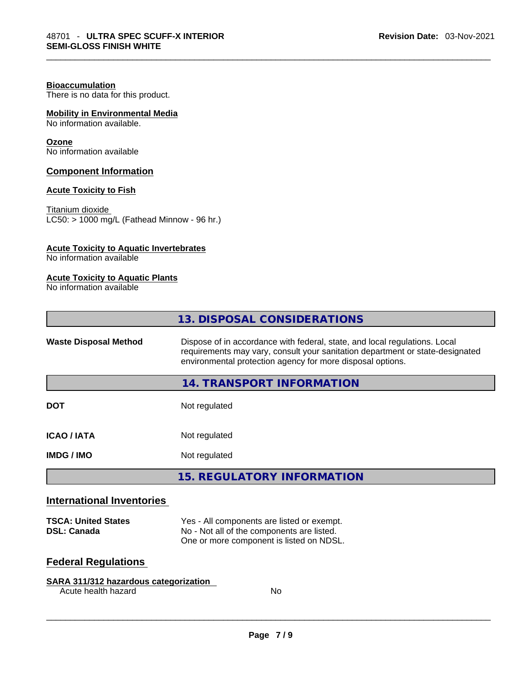### **Bioaccumulation**

There is no data for this product.

### **Mobility in Environmental Media**

No information available.

### **Ozone**

No information available

### **Component Information**

### **Acute Toxicity to Fish**

Titanium dioxide  $\overline{\text{LC50:}}$  > 1000 mg/L (Fathead Minnow - 96 hr.)

### **Acute Toxicity to Aquatic Invertebrates**

No information available

### **Acute Toxicity to Aquatic Plants**

No information available

|                              | 13. DISPOSAL CONSIDERATIONS                                                                                                                                                                                               |
|------------------------------|---------------------------------------------------------------------------------------------------------------------------------------------------------------------------------------------------------------------------|
| <b>Waste Disposal Method</b> | Dispose of in accordance with federal, state, and local regulations. Local<br>requirements may vary, consult your sanitation department or state-designated<br>environmental protection agency for more disposal options. |
|                              | 14. TRANSPORT INFORMATION                                                                                                                                                                                                 |
| <b>DOT</b>                   | Not regulated                                                                                                                                                                                                             |
| <b>ICAO/IATA</b>             | Not regulated                                                                                                                                                                                                             |
| <b>IMDG/IMO</b>              | Not regulated                                                                                                                                                                                                             |
|                              | <b>15. REGULATORY INFORMATION</b>                                                                                                                                                                                         |
| International Inventarios    |                                                                                                                                                                                                                           |

### **International Inventories**

| <b>TSCA: United States</b> | Yes - All components are listed or exempt. |
|----------------------------|--------------------------------------------|
| <b>DSL: Canada</b>         | No - Not all of the components are listed. |
|                            | One or more component is listed on NDSL.   |

## **Federal Regulations**

### **SARA 311/312 hazardous categorization**

Acute health hazard No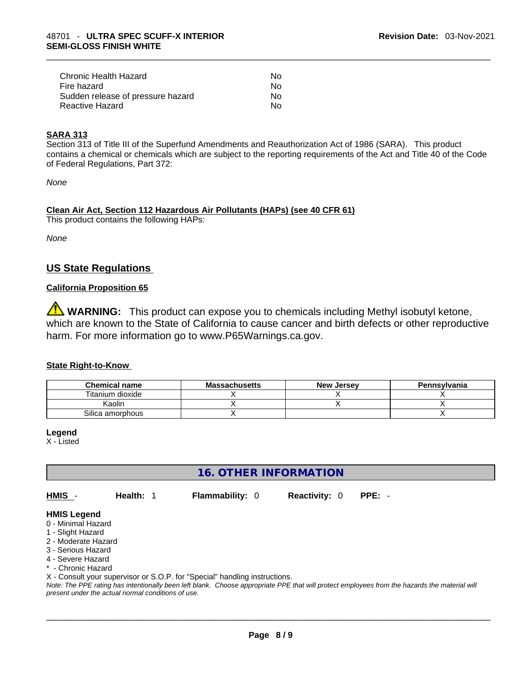| Chronic Health Hazard             | No. |  |
|-----------------------------------|-----|--|
| Fire hazard                       | No. |  |
| Sudden release of pressure hazard | No. |  |
| Reactive Hazard                   | Nο  |  |

### **SARA 313**

Section 313 of Title III of the Superfund Amendments and Reauthorization Act of 1986 (SARA). This product contains a chemical or chemicals which are subject to the reporting requirements of the Act and Title 40 of the Code of Federal Regulations, Part 372:

*None*

### **Clean Air Act,Section 112 Hazardous Air Pollutants (HAPs) (see 40 CFR 61)**

This product contains the following HAPs:

*None*

### **US State Regulations**

### **California Proposition 65**

**WARNING:** This product can expose you to chemicals including Methyl isobutyl ketone, which are known to the State of California to cause cancer and birth defects or other reproductive harm. For more information go to www.P65Warnings.ca.gov.

### **State Right-to-Know**

| <b>Chemical name</b> | <b>Massachusetts</b> | <b>New Jersey</b> | Pennsylvania |
|----------------------|----------------------|-------------------|--------------|
| Titanium dioxide     |                      |                   |              |
| Kaolin               |                      |                   |              |
| Silica amorphous     |                      |                   |              |

**Legend**

X - Listed

**16. OTHER INFORMATION** 

**HMIS** - **Health:** 1 **Flammability:** 0 **Reactivity:** 0 **PPE:** -

### **HMIS Legend**

- 0 Minimal Hazard
- 1 Slight Hazard
- 2 Moderate Hazard
- 3 Serious Hazard
- 4 Severe Hazard
- Chronic Hazard

X - Consult your supervisor or S.O.P. for "Special" handling instructions.

Note: The PPE rating has intentionally been left blank. Choose appropriate PPE that will protect employees from the hazards the material will *present under the actual normal conditions of use.*